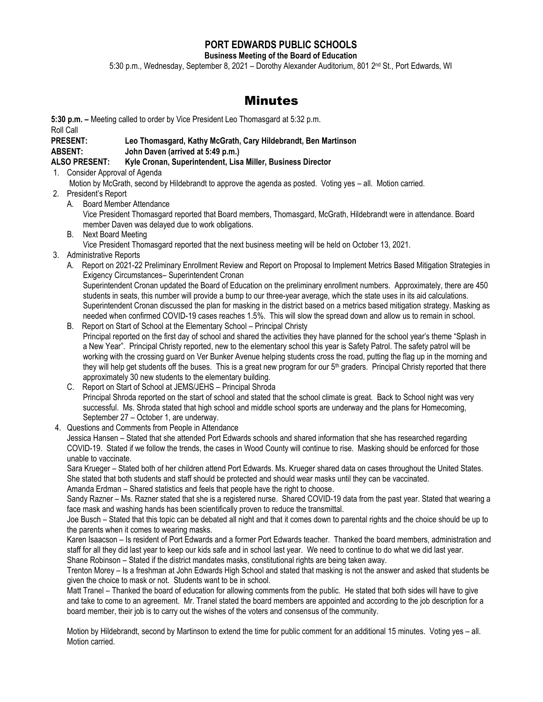### **PORT EDWARDS PUBLIC SCHOOLS**

**Business Meeting of the Board of Education**

5:30 p.m., Wednesday, September 8, 2021 – Dorothy Alexander Auditorium, 801 2nd St., Port Edwards, WI

## Minutes

**5:30 p.m. –** Meeting called to order by Vice President Leo Thomasgard at 5:32 p.m. Roll Call

# **PRESENT: Leo Thomasgard, Kathy McGrath, Cary Hildebrandt, Ben Martinson**

**ABSENT: John Daven (arrived at 5:49 p.m.)**

#### **ALSO PRESENT: Kyle Cronan, Superintendent, Lisa Miller, Business Director**

- 1. Consider Approval of Agenda Motion by McGrath, second by Hildebrandt to approve the agenda as posted. Voting yes – all. Motion carried.
- 2. President's Report
	- A. Board Member Attendance

Vice President Thomasgard reported that Board members, Thomasgard, McGrath, Hildebrandt were in attendance. Board member Daven was delayed due to work obligations.

B. Next Board Meeting

Vice President Thomasgard reported that the next business meeting will be held on October 13, 2021.

- 3. Administrative Reports
	- A. Report on 2021-22 Preliminary Enrollment Review and Report on Proposal to Implement Metrics Based Mitigation Strategies in Exigency Circumstances– Superintendent Cronan

Superintendent Cronan updated the Board of Education on the preliminary enrollment numbers. Approximately, there are 450 students in seats, this number will provide a bump to our three-year average, which the state uses in its aid calculations. Superintendent Cronan discussed the plan for masking in the district based on a metrics based mitigation strategy. Masking as needed when confirmed COVID-19 cases reaches 1.5%. This will slow the spread down and allow us to remain in school.

- B. Report on Start of School at the Elementary School Principal Christy Principal reported on the first day of school and shared the activities they have planned for the school year's theme "Splash in a New Year". Principal Christy reported, new to the elementary school this year is Safety Patrol. The safety patrol will be working with the crossing guard on Ver Bunker Avenue helping students cross the road, putting the flag up in the morning and they will help get students off the buses. This is a great new program for our  $5<sup>th</sup>$  graders. Principal Christy reported that there approximately 30 new students to the elementary building.
- C. Report on Start of School at JEMS/JEHS Principal Shroda Principal Shroda reported on the start of school and stated that the school climate is great. Back to School night was very successful. Ms. Shroda stated that high school and middle school sports are underway and the plans for Homecoming, September 27 – October 1, are underway.
- 4. Questions and Comments from People in Attendance

Jessica Hansen – Stated that she attended Port Edwards schools and shared information that she has researched regarding COVID-19. Stated if we follow the trends, the cases in Wood County will continue to rise. Masking should be enforced for those unable to vaccinate.

Sara Krueger – Stated both of her children attend Port Edwards. Ms. Krueger shared data on cases throughout the United States. She stated that both students and staff should be protected and should wear masks until they can be vaccinated. Amanda Erdman – Shared statistics and feels that people have the right to choose.

Sandy Razner – Ms. Razner stated that she is a registered nurse. Shared COVID-19 data from the past year. Stated that wearing a face mask and washing hands has been scientifically proven to reduce the transmittal.

Joe Busch – Stated that this topic can be debated all night and that it comes down to parental rights and the choice should be up to the parents when it comes to wearing masks.

Karen Isaacson – Is resident of Port Edwards and a former Port Edwards teacher. Thanked the board members, administration and staff for all they did last year to keep our kids safe and in school last year. We need to continue to do what we did last year. Shane Robinson – Stated if the district mandates masks, constitutional rights are being taken away.

Trenton Morey – Is a freshman at John Edwards High School and stated that masking is not the answer and asked that students be given the choice to mask or not. Students want to be in school.

Matt Tranel – Thanked the board of education for allowing comments from the public. He stated that both sides will have to give and take to come to an agreement. Mr. Tranel stated the board members are appointed and according to the job description for a board member, their job is to carry out the wishes of the voters and consensus of the community.

Motion by Hildebrandt, second by Martinson to extend the time for public comment for an additional 15 minutes. Voting yes – all. Motion carried.